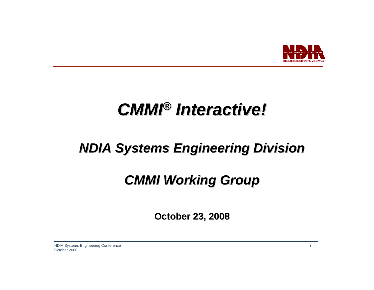

# *CMMI® Interactive! Interactive!*

## *NDIA Systems Engineering Division NDIA Systems Engineering Division*

## *CMMI Working Group CMMI Working Group*

**October 23, 2008 October 23, 2008**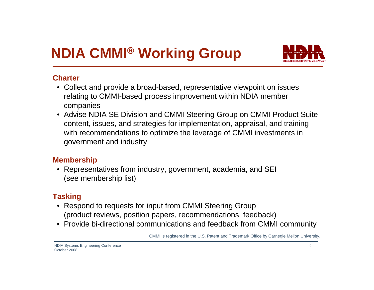## **NDIA CMMI® Working Group**



#### **Charter**

- Collect and provide a broad-based, representative viewpoint on issues relating to CMMI-based process improvement within NDIA member companies
- Advise NDIA SE Division and CMMI Steering Group on CMMI Product Suite content, issues, and strategies for implementation, appraisal, and training with recommendations to optimize the leverage of CMMI investments in government and industry

#### **Membership**

• Representatives from industry, government, academia, and SEI (see membership list)

#### **Tasking**

- Respond to requests for input from CMMI Steering Group (product reviews, position papers, recommendations, feedback)
- Provide bi-directional communications and feedback from CMMI community

CMMI is registered in the U.S. Patent and Trademark Office by Carnegie Mellon University.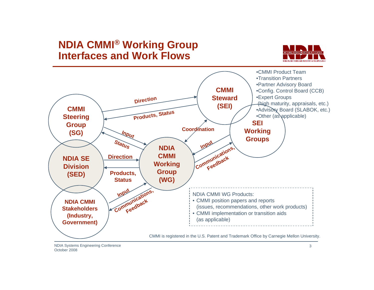#### **NDIA CMMI® Working Group Interfaces and Work Flows**





NDIA Systems Engineering Conference October 2008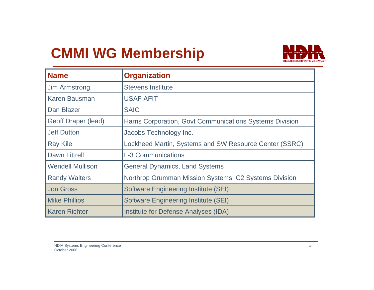## **CMMI WG Membership**



| <b>Name</b>                | <b>Organization</b>                                      |  |
|----------------------------|----------------------------------------------------------|--|
| <b>Jim Armstrong</b>       | <b>Stevens Institute</b>                                 |  |
| <b>Karen Bausman</b>       | <b>USAF AFIT</b>                                         |  |
| Dan Blazer                 | <b>SAIC</b>                                              |  |
| <b>Geoff Draper (lead)</b> | Harris Corporation, Govt Communications Systems Division |  |
| <b>Jeff Dutton</b>         | Jacobs Technology Inc.                                   |  |
| <b>Ray Kile</b>            | Lockheed Martin, Systems and SW Resource Center (SSRC)   |  |
| <b>Dawn Littrell</b>       | <b>L-3 Communications</b>                                |  |
| <b>Wendell Mullison</b>    | <b>General Dynamics, Land Systems</b>                    |  |
| <b>Randy Walters</b>       | Northrop Grumman Mission Systems, C2 Systems Division    |  |
| <b>Jon Gross</b>           | <b>Software Engineering Institute (SEI)</b>              |  |
| <b>Mike Phillips</b>       | <b>Software Engineering Institute (SEI)</b>              |  |
| <b>Karen Richter</b>       | <b>Institute for Defense Analyses (IDA)</b>              |  |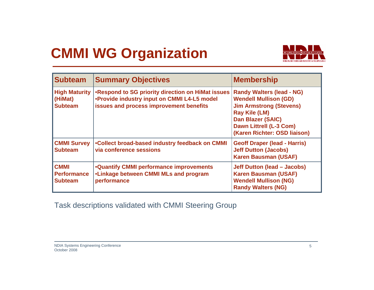## **CMMI WG Organization**



| <b>Subteam</b>                                      | <b>Summary Objectives</b>                                                                                                                   | <b>Membership</b>                                                                                                                                                                                                        |
|-----------------------------------------------------|---------------------------------------------------------------------------------------------------------------------------------------------|--------------------------------------------------------------------------------------------------------------------------------------------------------------------------------------------------------------------------|
| <b>High Maturity</b><br>(HiMat)<br><b>Subteam</b>   | .Respond to SG priority direction on HiMat issues<br>.Provide industry input on CMMI L4-L5 model<br>issues and process improvement benefits | <b>Randy Walters (lead - NG)</b><br><b>Wendell Mullison (GD)</b><br><b>Jim Armstrong (Stevens)</b><br><b>Ray Kile (LM)</b><br><b>Dan Blazer (SAIC)</b><br><b>Dawn Littrell (L-3 Com)</b><br>(Karen Richter: OSD liaison) |
| <b>CMMI Survey</b><br><b>Subteam</b>                | .Collect broad-based industry feedback on CMMI<br>via conference sessions                                                                   | <b>Geoff Draper (lead - Harris)</b><br><b>Jeff Dutton (Jacobs)</b><br><b>Karen Bausman (USAF)</b>                                                                                                                        |
| <b>CMMI</b><br><b>Performance</b><br><b>Subteam</b> | <b>.Quantify CMMI performance improvements</b><br>•Linkage between CMMI MLs and program<br>performance                                      | <b>Jeff Dutton (lead - Jacobs)</b><br><b>Karen Bausman (USAF)</b><br><b>Wendell Mullison (NG)</b><br><b>Randy Walters (NG)</b>                                                                                           |

Task descriptions validated with CMMI Steering Group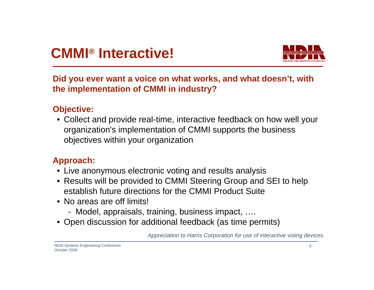

#### **Did you ever want a voice on what works, and what doesn't, with the implementation of CMMI in industry?**

#### **Objective:**

• Collect and provide real-time, interactive feedback on how well your organization's implementation of CMMI supports the business objectives within your organization

#### **Approach:**

- Live anonymous electronic voting and results analysis
- Results will be provided to CMMI Steering Group and SEI to help establish future directions for the CMMI Product Suite
- No areas are off limits!
	- Model, appraisals, training, business impact, ….
- Open discussion for additional feedback (as time permits)

Appreciation to Harris Corporation for use of interactive voting devices.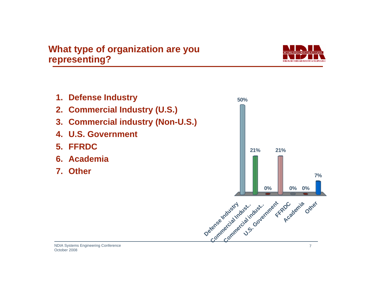

- **1. Defense Industry**
- **2. Commercial Industry (U.S.)**
- **3. Commercial industry (Non-U.S.)**
- **4. U.S. Government**
- **5. FFRDC**
- **6. Academia**
- **7. Other**

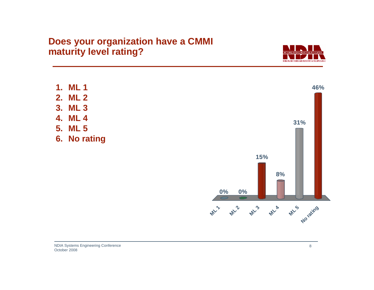

- **1. ML 1**
- **2. ML 2**
- **3. ML 3**
- **4. ML 4**
- **5. ML 5**
- **6. No rating**

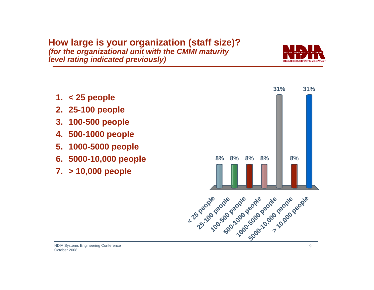**How large is your organization (staff size)?** *(for the organizational unit with the CMMI maturity level rating indicated previously)*

- **1. < 25 people**
- **2. 25-100 people**
- **3. 100-500 people**
- **4. 500-1000 people**
- **5. 1000-5000 people**
- **6. 5000-10,000 people**
- **7. > 10,000 people**

October 2008



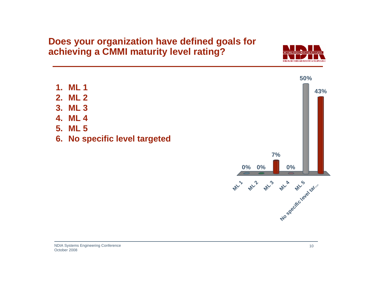#### **Does your organization have defined goals for achieving a CMMI maturity level rating?**



- **1. ML 1**
- **2. ML 2**
- **3. ML 3**
- **4. ML 4**
- **5. ML 5**
- **6. No specific level targeted**

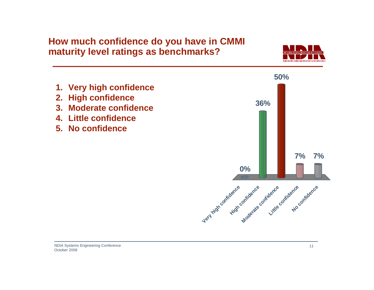#### **How much confidence do you have in CMMI maturity level ratings as benchmarks?**



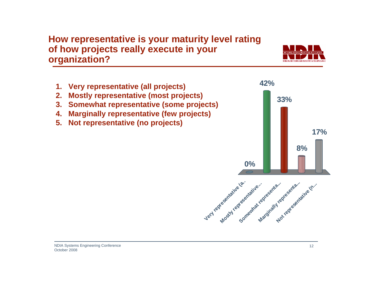#### **How representative is your maturity level rating of how projects really execute in your organization?**

- **1. Very representative (all projects)**
- **2. Mostly representative (most projects)**
- **3. Somewhat representative (some projects)**
- **4. Marginally representative (few projects)**
- **5. Not representative (no projects)**



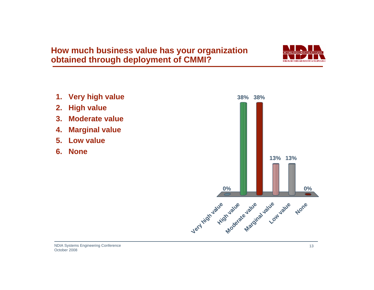#### **How much business value has your organization obtained through deployment of CMMI?**

STRENGTH THROUGH INDUSTRY & TECHNOLOG

- **1.** Very high value
- **2. High value**
- **3. Moderate value**
- **4. Marginal value**
- **5. Low value**
- **6. None**

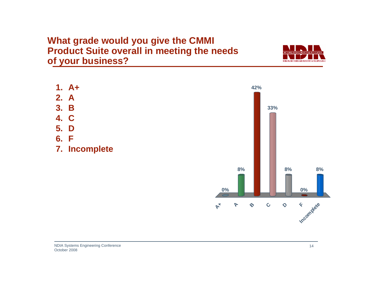#### **What grade would you give the CMMI Product Suite overall in meeting the needs of your business?**

- $1. \, A+$
- **2. A**
- **3. B**
- **4. C**
- **5. D**
- **6. F**
- **7. Incomplete**



ONAT, DEFENSE INDUSTRIAT, ASSOCIATION STRENGTH THROUGH INDUSTRY & TECHNOLOGY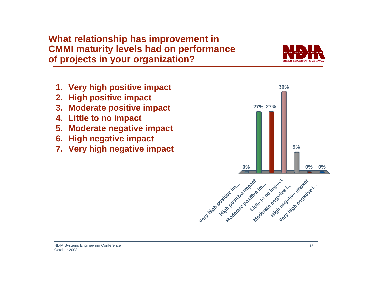#### **What relationship has improvement in CMMI maturity levels had on performance of projects in your organization?**

- 
- **1. Very high positive impact 36%**
- **2. High positive impact**
- **3. Moderate positive impact**
- **4. Little to no impact**
- **5. Moderate negative impact**
- **6. High negative impact**
- **7. Very high negative impact**

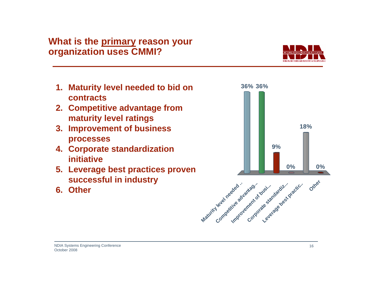#### **What is the primary reason your organization uses CMMI?**

- **1. Maturity level needed to bid on contracts**
- **2. Competitive advantage from maturity level ratings**
- **3. Improvement of business processes**
- **4. Corporate standardization initiative**
- **5. Leverage best practices proven successful in industry**
- **6. Other**





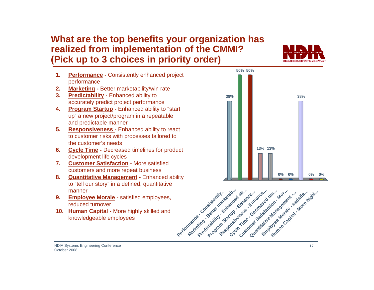#### **What are the top benefits your organization has realized from implementation of the CMMI? (Pick up to 3 choices in priority order)**



- **1. Performance -** Consistently enhanced project performance
- **2. Marketing -** Better marketability/win rate
- **3. Predictability -** Enhanced ability to accurately predict project performance
- **4. Program Startup -** Enhanced ability to "start up" a new project/program in a repeatable and predictable manner
- **5. Responsiveness -** Enhanced ability to react to customer risks with processes tailored to the customer's needs
- **6. Cycle Time -** Decreased timelines for product development life cycles
- **7. Customer Satisfaction -** More satisfied customers and more repeat business
- **8. Quantitative Management -** Enhanced ability to "tell our story" in a defined, quantitative manner
- **9. Employee Morale -** satisfied employees, reduced turnover
- **10. Human Capital -** More highly skilled and knowledgeable employees



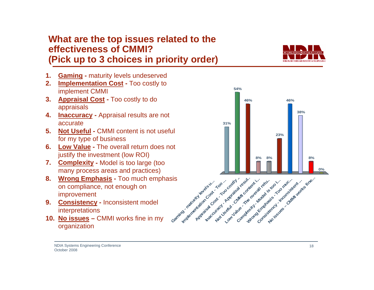# accurate

- **6. Low Value -** The overall return does not justify the investment (low ROI)
- **7. Complexity -** Model is too large (too many process areas and practices)
- **8. Wrong Emphasis -** Too much emphasis on compliance, not enough on improvement
- **9. Consistency -** Inconsistent model interpretations
- **10. No issues –** CMMI works fine in my organization

#### **What are the top issues related to the effectiveness of CMMI?(Pick up to 3 choices in priority order)**

- **1. Gaming -** maturity levels undeserved
- **2. Implementation Cost -** Too costly to implement CMMI
- **3. Appraisal Cost -** Too costly to do appraisals
- **4. Inaccuracy -** Appraisal results are not
- **5. Not Useful -** CMMI content is not useful for my type of business
- 





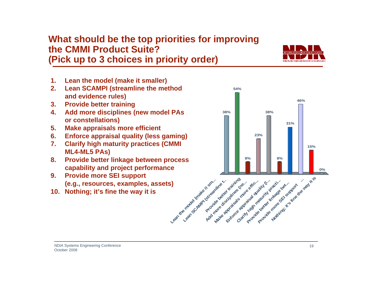#### **What should be the top priorities for improving the CMMI Product Suite?(Pick up to 3 choices in priority order)**

- **1. Lean the model (make it smaller)**
- **2. Lean SCAMPI (streamline the method and evidence rules)**
- **3. Provide better training**
- **4. Add more disciplines (new model PAs or constellations)**
- **5. Make appraisals more efficient**
- **6. Enforce appraisal quality (less gaming)**
- **7. Clarify high maturity practices (CMMI ML4-ML5 PAs)**
- **8. Provide better linkage between process capability and project performance**
- **9. Provide more SEI support (e.g., resources, examples, assets)**
- **10. Nothing; it's fine the way it is**

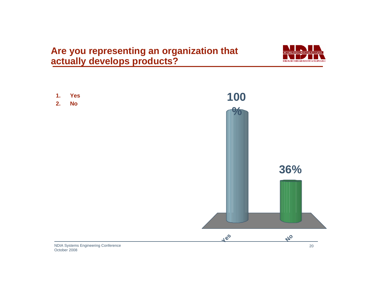**Are you representing an organization that actually develops products?**



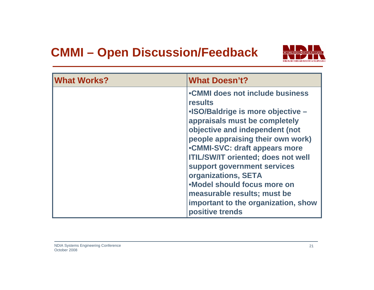### **CMMI – Open Discussion/Feedback**



| <b>What Works?</b> | <b>What Doesn't?</b>                                                                                                                                                                                                                                                                                                                                                                                                                                        |
|--------------------|-------------------------------------------------------------------------------------------------------------------------------------------------------------------------------------------------------------------------------------------------------------------------------------------------------------------------------------------------------------------------------------------------------------------------------------------------------------|
|                    | •CMMI does not include business<br><b>results</b><br>• ISO/Baldrige is more objective -<br>appraisals must be completely<br>objective and independent (not<br>people appraising their own work)<br>•CMMI-SVC: draft appears more<br><b>ITIL/SW/IT oriented; does not well</b><br>support government services<br>organizations, SETA<br>.Model should focus more on<br>measurable results; must be<br>important to the organization, show<br>positive trends |